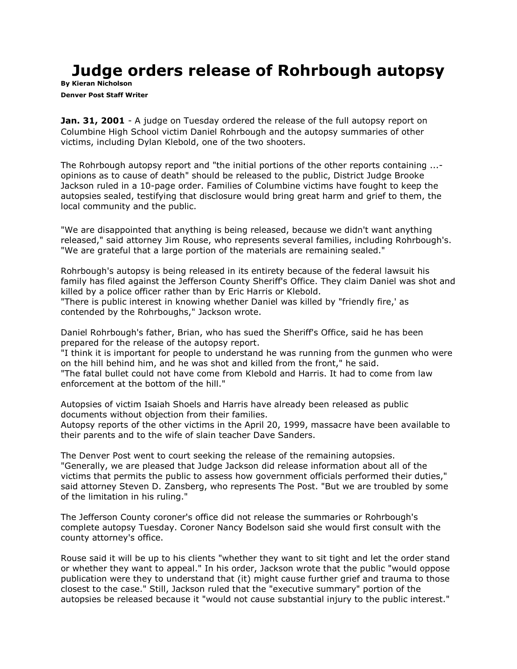## **Judge orders release of Rohrbough autopsy**

**By [Kieran Nicholson](mailto:newsroom@denverpost.com) Denver Post Staff Writer**

**Jan. 31, 2001** - A judge on Tuesday ordered the release of the full autopsy report on Columbine High School victim Daniel Rohrbough and the autopsy summaries of other victims, including Dylan Klebold, one of the two shooters.

The Rohrbough autopsy report and "the initial portions of the other reports containing ... opinions as to cause of death" should be released to the public, District Judge Brooke Jackson ruled in a 10-page order. Families of Columbine victims have fought to keep the autopsies sealed, testifying that disclosure would bring great harm and grief to them, the local community and the public.

"We are disappointed that anything is being released, because we didn't want anything released," said attorney Jim Rouse, who represents several families, including Rohrbough's. "We are grateful that a large portion of the materials are remaining sealed."

Rohrbough's autopsy is being released in its entirety because of the federal lawsuit his family has filed against the Jefferson County Sheriff's Office. They claim Daniel was shot and killed by a police officer rather than by Eric Harris or Klebold.

"There is public interest in knowing whether Daniel was killed by "friendly fire,' as contended by the Rohrboughs," Jackson wrote.

Daniel Rohrbough's father, Brian, who has sued the Sheriff's Office, said he has been prepared for the release of the autopsy report.

"I think it is important for people to understand he was running from the gunmen who were on the hill behind him, and he was shot and killed from the front," he said. "The fatal bullet could not have come from Klebold and Harris. It had to come from law enforcement at the bottom of the hill."

Autopsies of victim Isaiah Shoels and Harris have already been released as public documents without objection from their families.

Autopsy reports of the other victims in the April 20, 1999, massacre have been available to their parents and to the wife of slain teacher Dave Sanders.

The Denver Post went to court seeking the release of the remaining autopsies. "Generally, we are pleased that Judge Jackson did release information about all of the victims that permits the public to assess how government officials performed their duties," said attorney Steven D. Zansberg, who represents The Post. "But we are troubled by some of the limitation in his ruling."

The Jefferson County coroner's office did not release the summaries or Rohrbough's complete autopsy Tuesday. Coroner Nancy Bodelson said she would first consult with the county attorney's office.

Rouse said it will be up to his clients "whether they want to sit tight and let the order stand or whether they want to appeal." In his order, Jackson wrote that the public "would oppose publication were they to understand that (it) might cause further grief and trauma to those closest to the case." Still, Jackson ruled that the "executive summary" portion of the autopsies be released because it "would not cause substantial injury to the public interest."